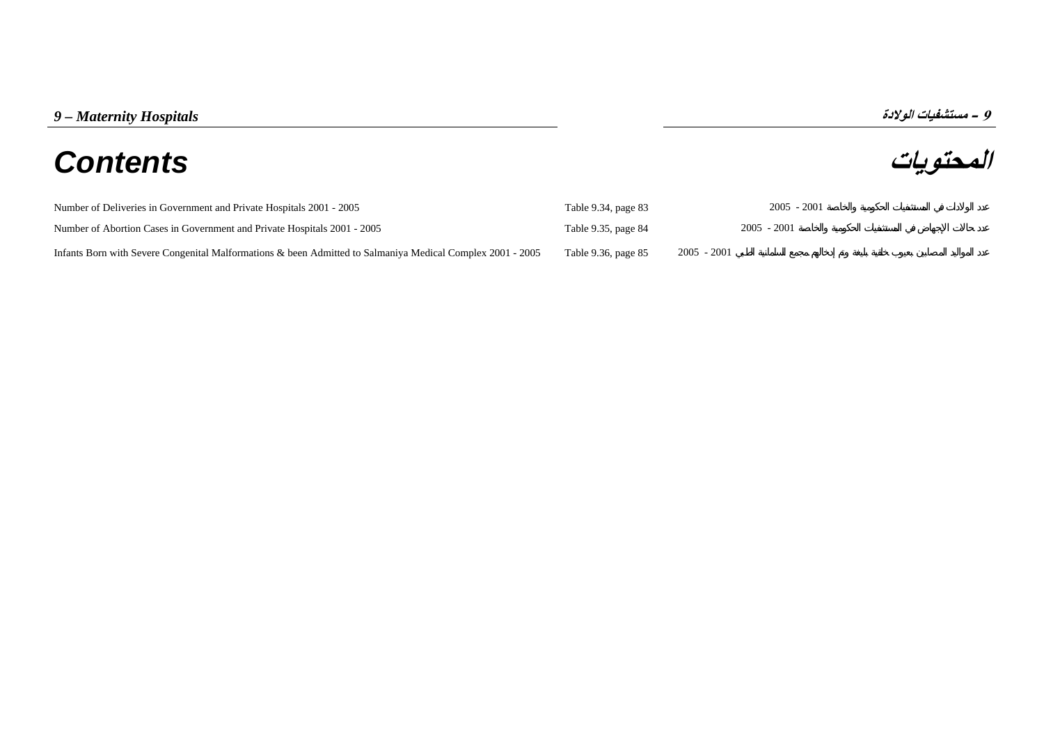# **المحتويات** *Contents*

و - مستشفيات الولادة<br>**المحتويات** 

| Number of Deliveries in Government and Private Hospitals 2001 - 2005                                       | Table 9.34, page 83 | $2005 - 2001$ |
|------------------------------------------------------------------------------------------------------------|---------------------|---------------|
| Number of Abortion Cases in Government and Private Hospitals 2001 - 2005                                   | Table 9.35, page 84 | $2005 - 2001$ |
| Infants Born with Severe Congenital Malformations & been Admitted to Salmaniya Medical Complex 2001 - 2005 | Table 9.36, page 85 | $2005 - 2001$ |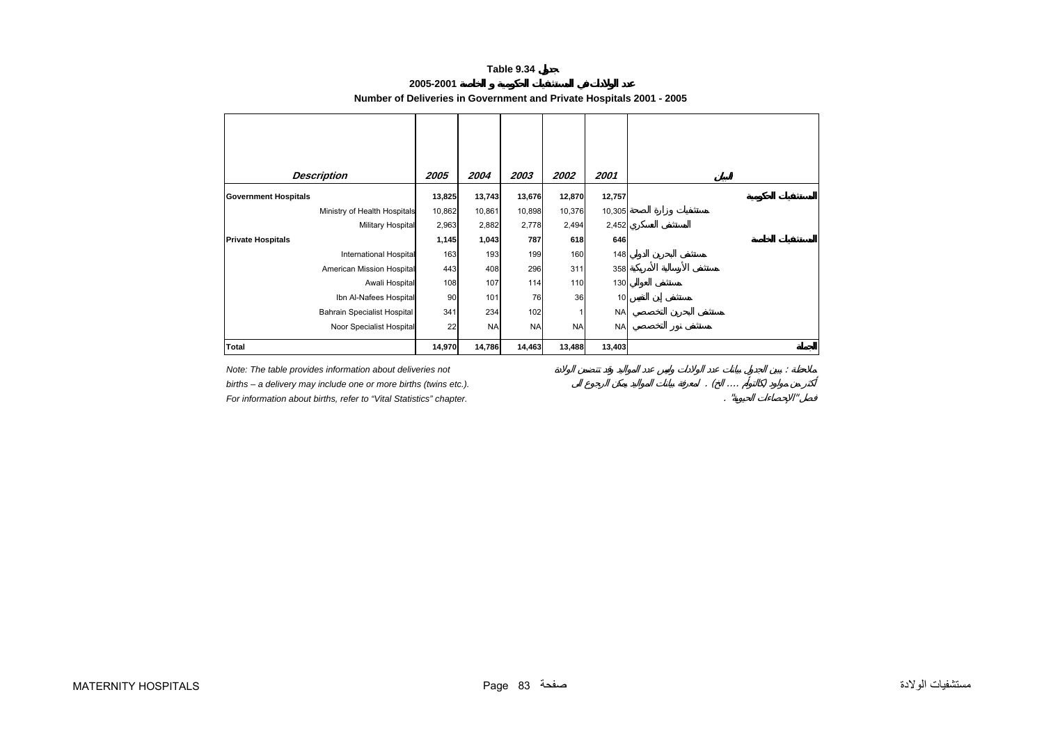## **Table 9.34**

**2005-2001** 

# **Number of Deliveries in Government and Private Hospitals 2001 - 2005**

<span id="page-1-0"></span>

| <b>Description</b>                 | 2005   | 2004      | 2003      | 2002      | 2001      |
|------------------------------------|--------|-----------|-----------|-----------|-----------|
| <b>Government Hospitals</b>        | 13,825 | 13,743    | 13,676    | 12,870    | 12,757    |
| Ministry of Health Hospitals       | 10,862 | 10,861    | 10,898    | 10,376    | 10,305    |
| Military Hospital                  | 2,963  | 2,882     | 2,778     | 2,494     | 2,452     |
| <b>Private Hospitals</b>           | 1,145  | 1,043     | 787       | 618       | 646       |
| <b>International Hospital</b>      | 163    | 193       | 199       | 160       | 148       |
| American Mission Hospital          | 443    | 408       | 296       | 311       | 358       |
| Awali Hospital                     | 108    | 107       | 114       | 110       | 130       |
| Ibn Al-Nafees Hospital             | 90     | 101       | 76        | 36        | 10        |
| <b>Bahrain Specialist Hospital</b> | 341    | 234       | 102       |           | <b>NA</b> |
| Noor Specialist Hospital           | 22     | <b>NA</b> | <b>NA</b> | <b>NA</b> | <b>NA</b> |
| <b>Total</b>                       | 14,970 | 14,786    | 14,463    | 13,488    | 13,403    |

births - a delivery may include one or more births (twins etc.).

*For information about births, refer to "Vital Statistics" chapter.* 

*Note: The table provides information about deliveries not*<br> *hirths – a delivery may include one or more births (twins etc.)*<br> *For information about births, refer to "Vital Statistics" chapter.*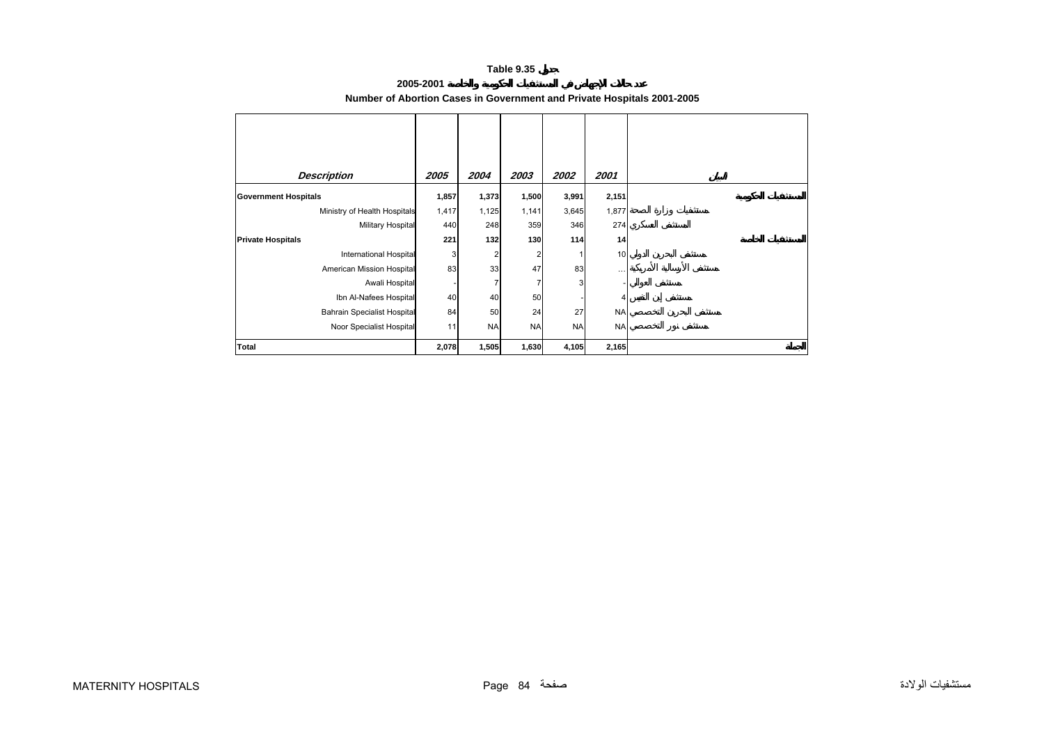### **Table 9.35**

# **2005-2001 Number of Abortion Cases in Government and Private Hospitals 2001-2005**

<span id="page-2-0"></span>

| <b>Description</b>                 | 2005  | 2004      | 2003      | 2002      | 2001      |
|------------------------------------|-------|-----------|-----------|-----------|-----------|
| <b>Government Hospitals</b>        | 1,857 | 1,373     | 1,500     | 3,991     | 2,151     |
| Ministry of Health Hospitals       | 1,417 | 1,125     | 1,141     | 3,645     | 1,877     |
| Military Hospital                  | 440   | 248       | 359       | 346       | 274       |
| <b>Private Hospitals</b>           | 221   | 132       | 130       | 114       | 14        |
| <b>International Hospital</b>      | 3     | 2         | 2         |           | 10        |
| American Mission Hospital          | 83    | 33        | 47        | 83        | $\cdots$  |
| Awali Hospital                     |       | 7         |           | 3         |           |
| Ibn Al-Nafees Hospital             | 40    | 40        | 50        |           | 4         |
| <b>Bahrain Specialist Hospital</b> | 84    | 50        | 24        | 27        | <b>NA</b> |
| Noor Specialist Hospital           | 11    | <b>NA</b> | <b>NA</b> | <b>NA</b> | <b>NA</b> |
| <b>Total</b>                       | 2,078 | 1,505     | 1,630     | 4,105     | 2,165     |